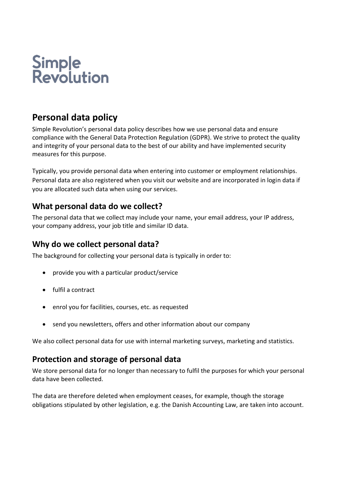# Simple<br>Revolution

# **Personal data policy**

Simple Revolution's personal data policy describes how we use personal data and ensure compliance with the General Data Protection Regulation (GDPR). We strive to protect the quality and integrity of your personal data to the best of our ability and have implemented security measures for this purpose.

Typically, you provide personal data when entering into customer or employment relationships. Personal data are also registered when you visit our website and are incorporated in login data if you are allocated such data when using our services.

# **What personal data do we collect?**

The personal data that we collect may include your name, your email address, your IP address, your company address, your job title and similar ID data.

# **Why do we collect personal data?**

The background for collecting your personal data is typically in order to:

- provide you with a particular product/service
- fulfil a contract
- enrol you for facilities, courses, etc. as requested
- send you newsletters, offers and other information about our company

We also collect personal data for use with internal marketing surveys, marketing and statistics.

#### **Protection and storage of personal data**

We store personal data for no longer than necessary to fulfil the purposes for which your personal data have been collected.

The data are therefore deleted when employment ceases, for example, though the storage obligations stipulated by other legislation, e.g. the Danish Accounting Law, are taken into account.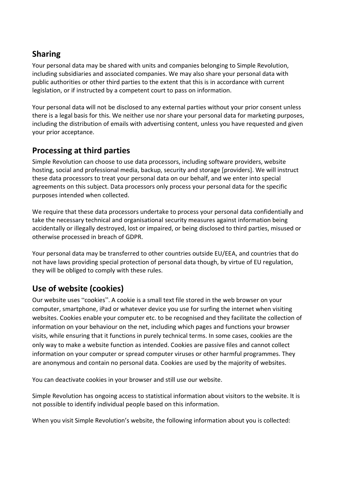#### **Sharing**

Your personal data may be shared with units and companies belonging to Simple Revolution, including subsidiaries and associated companies. We may also share your personal data with public authorities or other third parties to the extent that this is in accordance with current legislation, or if instructed by a competent court to pass on information.

Your personal data will not be disclosed to any external parties without your prior consent unless there is a legal basis for this. We neither use nor share your personal data for marketing purposes, including the distribution of emails with advertising content, unless you have requested and given your prior acceptance.

#### **Processing at third parties**

Simple Revolution can choose to use data processors, including software providers, website hosting, social and professional media, backup, security and storage [providers]. We will instruct these data processors to treat your personal data on our behalf, and we enter into special agreements on this subject. Data processors only process your personal data for the specific purposes intended when collected.

We require that these data processors undertake to process your personal data confidentially and take the necessary technical and organisational security measures against information being accidentally or illegally destroyed, lost or impaired, or being disclosed to third parties, misused or otherwise processed in breach of GDPR.

Your personal data may be transferred to other countries outside EU/EEA, and countries that do not have laws providing special protection of personal data though, by virtue of EU regulation, they will be obliged to comply with these rules.

# **Use of website (cookies)**

Our website uses "cookies". A cookie is a small text file stored in the web browser on your computer, smartphone, iPad or whatever device you use for surfing the internet when visiting websites. Cookies enable your computer etc. to be recognised and they facilitate the collection of information on your behaviour on the net, including which pages and functions your browser visits, while ensuring that it functions in purely technical terms. In some cases, cookies are the only way to make a website function as intended. Cookies are passive files and cannot collect information on your computer or spread computer viruses or other harmful programmes. They are anonymous and contain no personal data. Cookies are used by the majority of websites.

You can deactivate cookies in your browser and still use our website.

Simple Revolution has ongoing access to statistical information about visitors to the website. It is not possible to identify individual people based on this information.

When you visit Simple Revolution's website, the following information about you is collected: